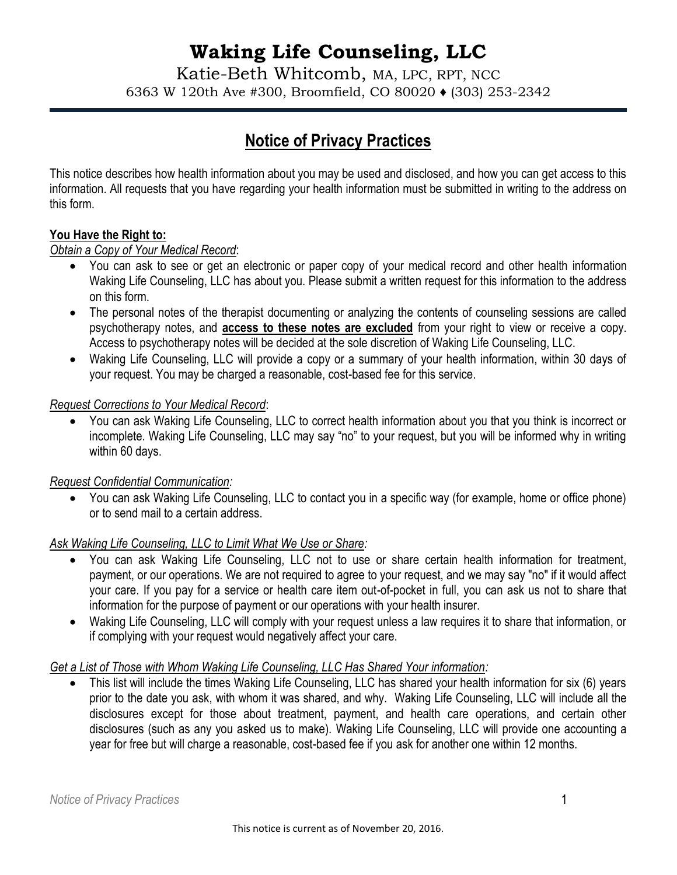# **Waking Life Counseling, LLC**

Katie-Beth Whitcomb, MA, LPC, RPT, NCC 6363 W 120th Ave #300, Broomfield, CO 80020 ♦ (303) 253-2342

# **Notice of Privacy Practices**

This notice describes how health information about you may be used and disclosed, and how you can get access to this information. All requests that you have regarding your health information must be submitted in writing to the address on this form.

#### **You Have the Right to:**

### *Obtain a Copy of Your Medical Record*:

- You can ask to see or get an electronic or paper copy of your medical record and other health information Waking Life Counseling, LLC has about you. Please submit a written request for this information to the address on this form.
- The personal notes of the therapist documenting or analyzing the contents of counseling sessions are called psychotherapy notes, and **access to these notes are excluded** from your right to view or receive a copy. Access to psychotherapy notes will be decided at the sole discretion of Waking Life Counseling, LLC.
- Waking Life Counseling, LLC will provide a copy or a summary of your health information, within 30 days of your request. You may be charged a reasonable, cost-based fee for this service.

### *Request Corrections to Your Medical Record*:

 You can ask Waking Life Counseling, LLC to correct health information about you that you think is incorrect or incomplete. Waking Life Counseling, LLC may say "no" to your request, but you will be informed why in writing within 60 days.

## *Request Confidential Communication:*

 You can ask Waking Life Counseling, LLC to contact you in a specific way (for example, home or office phone) or to send mail to a certain address.

## *Ask Waking Life Counseling, LLC to Limit What We Use or Share:*

- You can ask Waking Life Counseling, LLC not to use or share certain health information for treatment, payment, or our operations. We are not required to agree to your request, and we may say "no" if it would affect your care. If you pay for a service or health care item out-of-pocket in full, you can ask us not to share that information for the purpose of payment or our operations with your health insurer.
- Waking Life Counseling, LLC will comply with your request unless a law requires it to share that information, or if complying with your request would negatively affect your care.

#### *Get a List of Those with Whom Waking Life Counseling, LLC Has Shared Your information:*

 This list will include the times Waking Life Counseling, LLC has shared your health information for six (6) years prior to the date you ask, with whom it was shared, and why. Waking Life Counseling, LLC will include all the disclosures except for those about treatment, payment, and health care operations, and certain other disclosures (such as any you asked us to make). Waking Life Counseling, LLC will provide one accounting a year for free but will charge a reasonable, cost-based fee if you ask for another one within 12 months.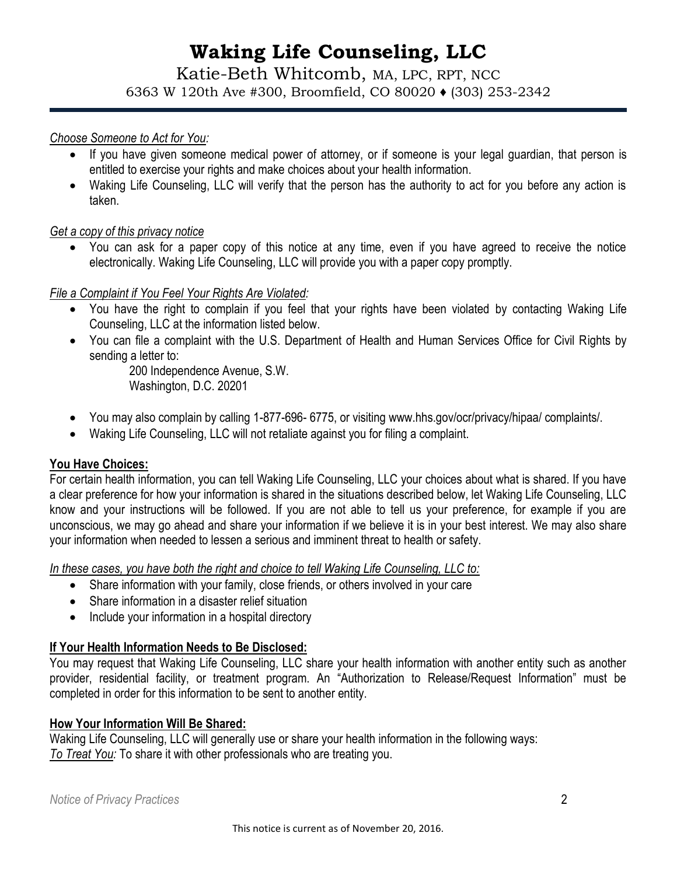# **Waking Life Counseling, LLC**

Katie-Beth Whitcomb, MA, LPC, RPT, NCC 6363 W 120th Ave #300, Broomfield, CO 80020 ♦ (303) 253-2342

#### *Choose Someone to Act for You:*

- If you have given someone medical power of attorney, or if someone is your legal guardian, that person is entitled to exercise your rights and make choices about your health information.
- Waking Life Counseling, LLC will verify that the person has the authority to act for you before any action is taken.

#### *Get a copy of this privacy notice*

 You can ask for a paper copy of this notice at any time, even if you have agreed to receive the notice electronically. Waking Life Counseling, LLC will provide you with a paper copy promptly.

#### *File a Complaint if You Feel Your Rights Are Violated:*

- You have the right to complain if you feel that your rights have been violated by contacting Waking Life Counseling, LLC at the information listed below.
- You can file a complaint with the U.S. Department of Health and Human Services Office for Civil Rights by sending a letter to:

200 Independence Avenue, S.W. Washington, D.C. 20201

- You may also complain by calling 1-877-696- 6775, or visiting www.hhs.gov/ocr/privacy/hipaa/ complaints/.
- Waking Life Counseling, LLC will not retaliate against you for filing a complaint.

#### **You Have Choices:**

For certain health information, you can tell Waking Life Counseling, LLC your choices about what is shared. If you have a clear preference for how your information is shared in the situations described below, let Waking Life Counseling, LLC know and your instructions will be followed. If you are not able to tell us your preference, for example if you are unconscious, we may go ahead and share your information if we believe it is in your best interest. We may also share your information when needed to lessen a serious and imminent threat to health or safety.

*In these cases, you have both the right and choice to tell Waking Life Counseling, LLC to:* 

- Share information with your family, close friends, or others involved in your care
- Share information in a disaster relief situation
- Include your information in a hospital directory

#### **If Your Health Information Needs to Be Disclosed:**

You may request that Waking Life Counseling, LLC share your health information with another entity such as another provider, residential facility, or treatment program. An "Authorization to Release/Request Information" must be completed in order for this information to be sent to another entity.

#### **How Your Information Will Be Shared:**

Waking Life Counseling, LLC will generally use or share your health information in the following ways: *To Treat You:* To share it with other professionals who are treating you.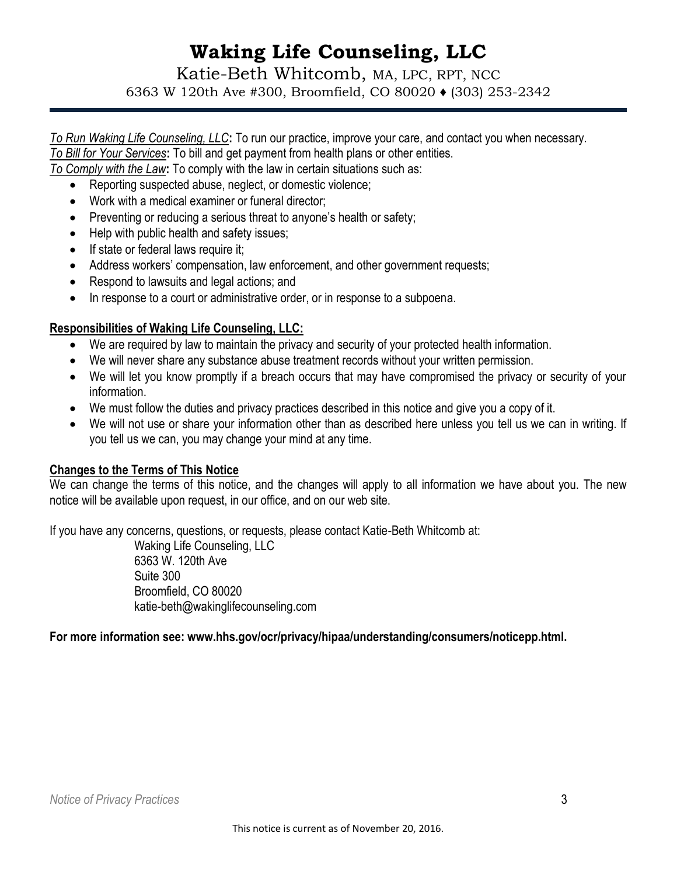# **Waking Life Counseling, LLC**

Katie-Beth Whitcomb, MA, LPC, RPT, NCC 6363 W 120th Ave #300, Broomfield, CO 80020 ♦ (303) 253-2342

*To Run Waking Life Counseling, LLC***:** To run our practice, improve your care, and contact you when necessary. *To Bill for Your Services***:** To bill and get payment from health plans or other entities.

*To Comply with the Law***:** To comply with the law in certain situations such as:

- Reporting suspected abuse, neglect, or domestic violence;
- Work with a medical examiner or funeral director;
- $\bullet$  Preventing or reducing a serious threat to anyone's health or safety;
- Help with public health and safety issues;
- If state or federal laws require it;
- Address workers' compensation, law enforcement, and other government requests;
- Respond to lawsuits and legal actions; and
- In response to a court or administrative order, or in response to a subpoena.

#### **Responsibilities of Waking Life Counseling, LLC:**

- We are required by law to maintain the privacy and security of your protected health information.
- We will never share any substance abuse treatment records without your written permission.
- We will let you know promptly if a breach occurs that may have compromised the privacy or security of your information.
- We must follow the duties and privacy practices described in this notice and give you a copy of it.
- We will not use or share your information other than as described here unless you tell us we can in writing. If you tell us we can, you may change your mind at any time.

#### **Changes to the Terms of This Notice**

We can change the terms of this notice, and the changes will apply to all information we have about you. The new notice will be available upon request, in our office, and on our web site.

If you have any concerns, questions, or requests, please contact Katie-Beth Whitcomb at:

Waking Life Counseling, LLC 6363 W. 120th Ave Suite 300 Broomfield, CO 80020 katie-beth@wakinglifecounseling.com

#### **For more information see: www.hhs.gov/ocr/privacy/hipaa/understanding/consumers/noticepp.html.**